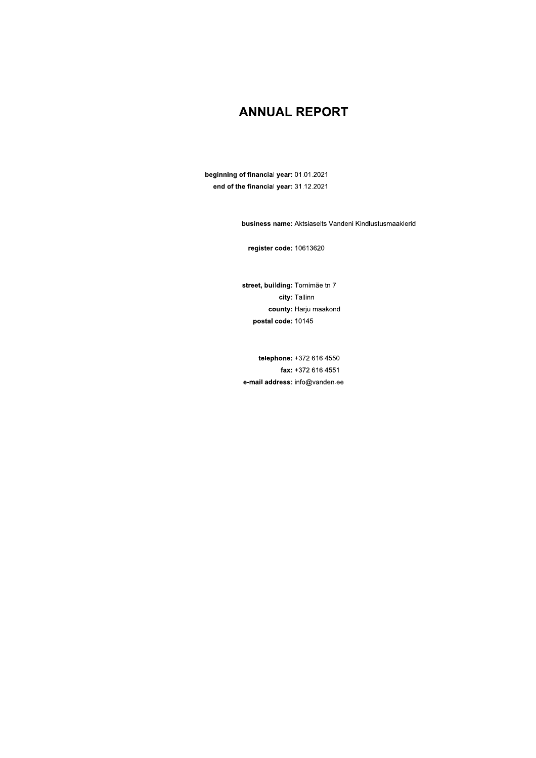### **ANNUAL REPORT**

beginning of financial year: 01.01.2021 end of the financial year: 31.12.2021

business name: Aktsiaselts Vandeni Kindlustusmaaklerid

register code: 10613620

street, building: Tornimäe tn 7 city: Tallinn county: Harju maakond postal code: 10145

telephone: +372 616 4550 fax: +372 616 4551 e-mail address: info@vanden.ee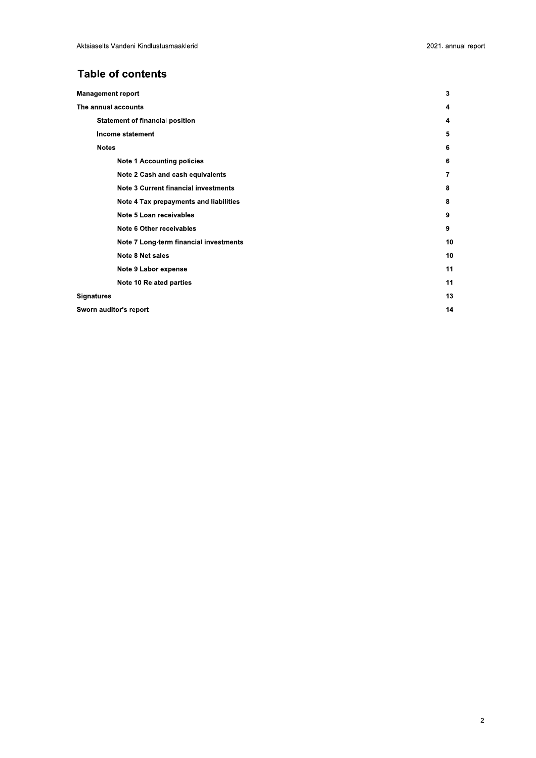## **Table of contents**

| <b>Management report</b>                    |    |  |
|---------------------------------------------|----|--|
| The annual accounts                         | 4  |  |
| <b>Statement of financial position</b>      | 4  |  |
| Income statement                            | 5  |  |
| <b>Notes</b>                                | 6  |  |
| <b>Note 1 Accounting policies</b>           | 6  |  |
| Note 2 Cash and cash equivalents            | 7  |  |
| <b>Note 3 Current financial investments</b> | 8  |  |
| Note 4 Tax prepayments and liabilities      | 8  |  |
| Note 5 Loan receivables                     | 9  |  |
| Note 6 Other receivables                    | 9  |  |
| Note 7 Long-term financial investments      | 10 |  |
| Note 8 Net sales                            | 10 |  |
| Note 9 Labor expense                        | 11 |  |
| Note 10 Related parties                     |    |  |
| <b>Signatures</b>                           | 13 |  |
| Sworn auditor's report                      |    |  |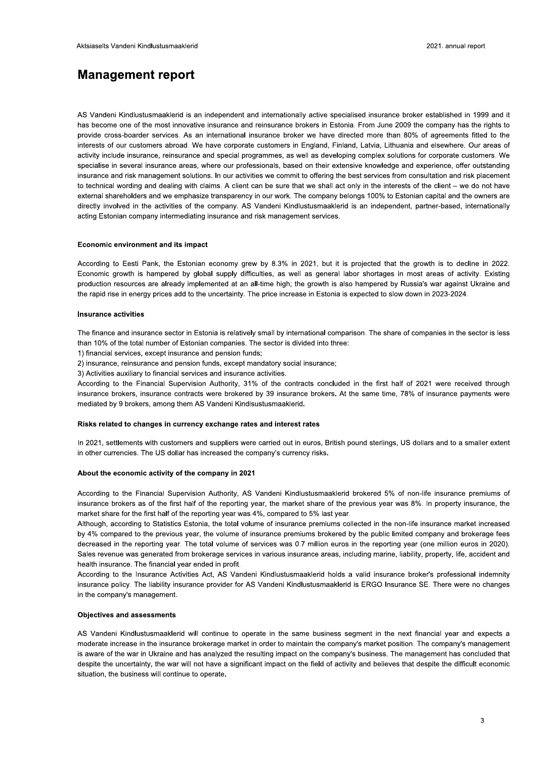### **Management report**

AS Vandeni Kindlustusmaaklerid is an independent and internationally active specialised insurance broker established in 1999 and it has become one of the most innovative insurance and reinsurance brokers in Estonia. From June 2009 the company has the rights to provide cross-boarder services. As an international insurance broker we have directed more than 80% of agreements fitted to the interests of our customers abroad. We have corporate customers in England, Finland, Latvia, Lithuania and elsewhere. Our areas of activity include insurance, reinsurance and special programmes, as well as developing complex solutions for corporate customers. We specialise in several insurance areas, where our professionals, based on their extensive knowledge and experience, offer outstanding insurance and risk management solutions. In our activities we commit to offering the best services from consultation and risk placement to technical wording and dealing with claims. A client can be sure that we shall act only in the interests of the client - we do not have external shareholders and we emphasize transparency in our work. The company belongs 100% to Estonian capital and the owners are directly involved in the activities of the company. AS Vandeni Kindlustusmaaklerid is an independent, partner-based, internationally acting Estonian company intermediating insurance and risk management services.

#### **Economic environment and its impact**

According to Eesti Pank, the Estonian economy grew by 8.3% in 2021, but it is projected that the growth is to decline in 2022. Economic growth is hampered by global supply difficulties, as well as general labor shortages in most areas of activity. Existing production resources are already implemented at an all-time high; the growth is also hampered by Russia's war against Ukraine and the rapid rise in energy prices add to the uncertainty. The price increase in Estonia is expected to slow down in 2023-2024.

#### **Insurance activities**

The finance and insurance sector in Estonia is relatively small by international comparison. The share of companies in the sector is less than 10% of the total number of Estonian companies. The sector is divided into three:

1) financial services, except insurance and pension funds;

2) insurance, reinsurance and pension funds, except mandatory social insurance;

3) Activities auxiliary to financial services and insurance activities.

According to the Financial Supervision Authority, 31% of the contracts concluded in the first half of 2021 were received through insurance brokers, insurance contracts were brokered by 39 insurance brokers. At the same time, 78% of insurance payments were mediated by 9 brokers, among them AS Vandeni Kindlsustusmaaklerid.

#### Risks related to changes in currency exchange rates and interest rates

In 2021, settlements with customers and suppliers were carried out in euros. British pound sterlings, US dollars and to a smaller extent in other currencies. The US dollar has increased the company's currency risks.

#### About the economic activity of the company in 2021

According to the Financial Supervision Authority, AS Vandeni Kindlustusmaaklerid brokered 5% of non-life insurance premiums of insurance brokers as of the first half of the reporting year, the market share of the previous year was 8%. In property insurance, the market share for the first half of the reporting year was 4%, compared to 5% last year.

Although, according to Statistics Estonia, the total volume of insurance premiums collected in the non-life insurance market increased by 4% compared to the previous year, the volume of insurance premiums brokered by the public limited company and brokerage fees decreased in the reporting year. The total volume of services was 0.7 million euros in the reporting year (one million euros in 2020). Sales revenue was generated from brokerage services in various insurance areas, including marine, liability, property, life, accident and health insurance. The financial year ended in profit.

According to the Insurance Activities Act, AS Vandeni Kindlustusmaaklerid holds a valid insurance broker's professional indemnity insurance policy. The liability insurance provider for AS Vandeni Kindlustusmaaklerid is ERGO Insurance SE. There were no changes in the company's management.

### **Objectives and assessments**

AS Vandeni Kindlustusmaaklerid will continue to operate in the same business segment in the next financial year and expects a moderate increase in the insurance brokerage market in order to maintain the company's market position. The company's management is aware of the war in Ukraine and has analyzed the resulting impact on the company's business. The management has concluded that despite the uncertainty, the war will not have a significant impact on the field of activity and believes that despite the difficult economic situation, the business will continue to operate.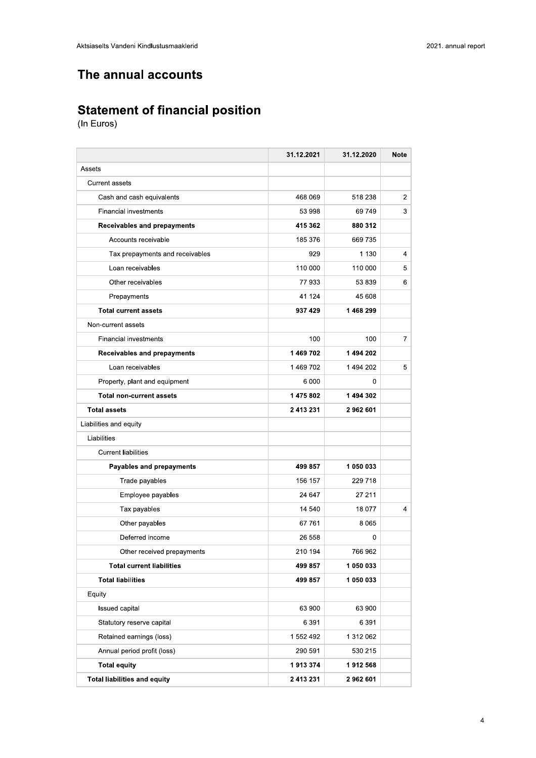## The annual accounts

# **Statement of financial position**

|                                     | 31.12.2021 | 31.12.2020 | <b>Note</b> |
|-------------------------------------|------------|------------|-------------|
| Assets                              |            |            |             |
| <b>Current assets</b>               |            |            |             |
| Cash and cash equivalents           | 468 069    | 518 238    | 2           |
| <b>Financial investments</b>        | 53 998     | 69749      | 3           |
| Receivables and prepayments         | 415 362    | 880 312    |             |
| Accounts receivable                 | 185 376    | 669 735    |             |
| Tax prepayments and receivables     | 929        | 1 1 3 0    | 4           |
| Loan receivables                    | 110 000    | 110 000    | 5           |
| Other receivables                   | 77 933     | 53 839     | 6           |
| Prepayments                         | 41 124     | 45 608     |             |
| <b>Total current assets</b>         | 937 429    | 1468299    |             |
| Non-current assets                  |            |            |             |
| <b>Financial investments</b>        | 100        | 100        | 7           |
| Receivables and prepayments         | 1469702    | 1494202    |             |
| Loan receivables                    | 1469702    | 1494202    | 5           |
| Property, plant and equipment       | 6 0 0 0    | 0          |             |
| <b>Total non-current assets</b>     | 1475802    | 1494302    |             |
| <b>Total assets</b>                 | 2 413 231  | 2962601    |             |
| Liabilities and equity              |            |            |             |
| Liabilities                         |            |            |             |
| <b>Current liabilities</b>          |            |            |             |
| Payables and prepayments            | 499 857    | 1 050 033  |             |
| Trade payables                      | 156 157    | 229 718    |             |
| Employee payables                   | 24 647     | 27 211     |             |
| Tax payables                        | 14 540     | 18 077     | 4           |
| Other payables                      | 67 761     | 8 0 6 5    |             |
| Deferred income                     | 26 558     | 0          |             |
| Other received prepayments          | 210 194    | 766 962    |             |
| <b>Total current liabilities</b>    | 499 857    | 1050033    |             |
| <b>Total liabilities</b>            | 499 857    | 1 050 033  |             |
| Equity                              |            |            |             |
| Issued capital                      | 63 900     | 63 900     |             |
| Statutory reserve capital           | 6 3 9 1    | 6 3 9 1    |             |
| Retained earnings (loss)            | 1 552 492  | 1 312 062  |             |
| Annual period profit (loss)         | 290 591    | 530 215    |             |
| <b>Total equity</b>                 | 1913374    | 1912 568   |             |
| <b>Total liabilities and equity</b> | 2 413 231  | 2962601    |             |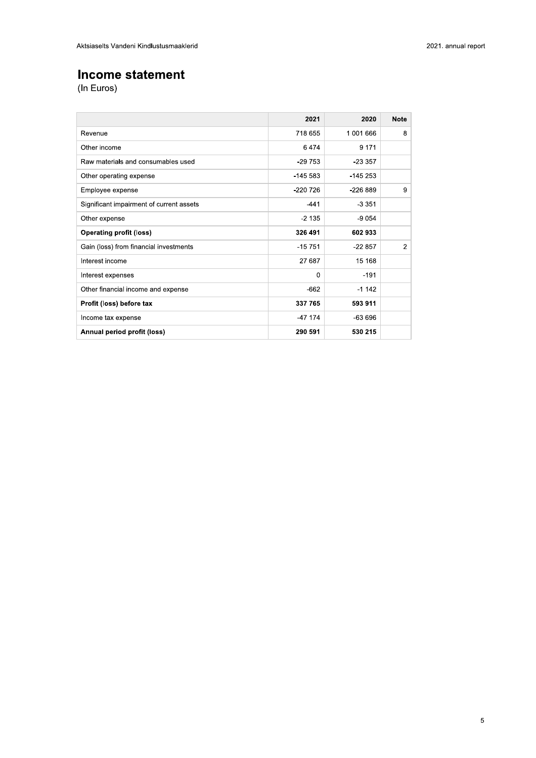### **Income statement**

|                                          | 2021         | 2020      | <b>Note</b>    |
|------------------------------------------|--------------|-----------|----------------|
| Revenue                                  | 718 655      | 1 001 666 | 8              |
| Other income                             | 6474         | 9 1 7 1   |                |
| Raw materials and consumables used       | $-29753$     | $-23.357$ |                |
| Other operating expense                  | $-145.583$   | $-145253$ |                |
| Employee expense                         | $-220726$    | $-226889$ | 9              |
| Significant impairment of current assets | $-441$       | $-3351$   |                |
| Other expense                            | $-2135$      | $-9054$   |                |
| <b>Operating profit (loss)</b>           | 326 491      | 602933    |                |
| Gain (loss) from financial investments   | $-15751$     | $-22857$  | $\overline{2}$ |
| Interest income                          | 27 687       | 15 168    |                |
| Interest expenses                        | $\mathbf{0}$ | $-191$    |                |
| Other financial income and expense       | $-662$       | $-1142$   |                |
| Profit (loss) before tax                 | 337 765      | 593 911   |                |
| Income tax expense                       | $-47$ 174    | $-63696$  |                |
| Annual period profit (loss)              | 290 591      | 530 215   |                |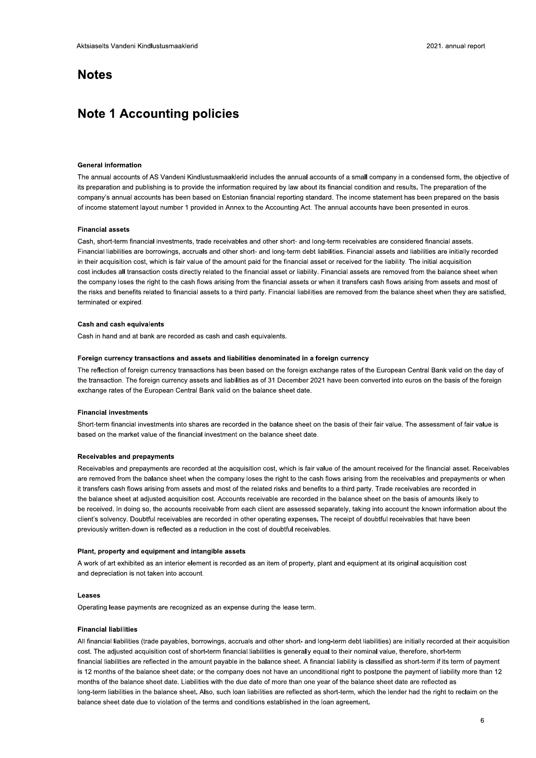### **Notes**

### **Note 1 Accounting policies**

### **General information**

The annual accounts of AS Vandeni Kindlustusmaaklerid includes the annual accounts of a small company in a condensed form, the objective of its preparation and publishing is to provide the information required by law about its financial condition and results. The preparation of the company's annual accounts has been based on Estonian financial reporting standard. The income statement has been prepared on the basis of income statement layout number 1 provided in Annex to the Accounting Act. The annual accounts have been presented in euros.

#### **Financial assets**

Cash, short-term financial investments, trade receivables and other short- and long-term receivables are considered financial assets. Financial liabilities are borrowings, accruals and other short- and long-term debt liabilities. Financial assets and liabilities are initially recorded in their acquisition cost, which is fair value of the amount paid for the financial asset or received for the liability. The initial acquisition cost includes all transaction costs directly related to the financial asset or liability. Financial assets are removed from the balance sheet when the company loses the right to the cash flows arising from the financial assets or when it transfers cash flows arising from assets and most of the risks and benefits related to financial assets to a third party. Financial liabilities are removed from the balance sheet when they are satisfied, terminated or expired.

#### **Cash and cash equivalents**

Cash in hand and at bank are recorded as cash and cash equivalents.

#### Foreign currency transactions and assets and liabilities denominated in a foreign currency

The reflection of foreign currency transactions has been based on the foreign exchange rates of the European Central Bank valid on the day of the transaction. The foreign currency assets and liabilities as of 31 December 2021 have been converted into euros on the basis of the foreign exchange rates of the European Central Bank valid on the balance sheet date.

#### **Financial investments**

Short-term financial investments into shares are recorded in the balance sheet on the basis of their fair value. The assessment of fair value is based on the market value of the financial investment on the balance sheet date.

#### Receivables and prepayments

Receivables and prepayments are recorded at the acquisition cost, which is fair value of the amount received for the financial asset. Receivables are removed from the balance sheet when the company loses the right to the cash flows arising from the receivables and prepayments or when it transfers cash flows arising from assets and most of the related risks and benefits to a third party. Trade receivables are recorded in the balance sheet at adjusted acquisition cost. Accounts receivable are recorded in the balance sheet on the basis of amounts likely to be received. In doing so, the accounts receivable from each client are assessed separately, taking into account the known information about the client's solvency. Doubtful receivables are recorded in other operating expenses. The receipt of doubtful receivables that have been previously written-down is reflected as a reduction in the cost of doubtful receivables.

#### Plant, property and equipment and intangible assets

A work of art exhibited as an interior element is recorded as an item of property, plant and equipment at its original acquisition cost and depreciation is not taken into account.

#### Leases

Operating lease payments are recognized as an expense during the lease term.

#### **Financial liabilities**

All financial liabilities (trade payables, borrowings, accruals and other short- and long-term debt liabilities) are initially recorded at their acquisition cost. The adjusted acquisition cost of short-term financial liabilities is generally equal to their nominal value, therefore, short-term financial liabilities are reflected in the amount payable in the balance sheet. A financial liability is classified as short-term if its term of payment is 12 months of the balance sheet date; or the company does not have an unconditional right to postpone the payment of liability more than 12 months of the balance sheet date. Liabilities with the due date of more than one year of the balance sheet date are reflected as long-term liabilities in the balance sheet. Also, such loan liabilities are reflected as short-term, which the lender had the right to reclaim on the balance sheet date due to violation of the terms and conditions established in the loan agreement.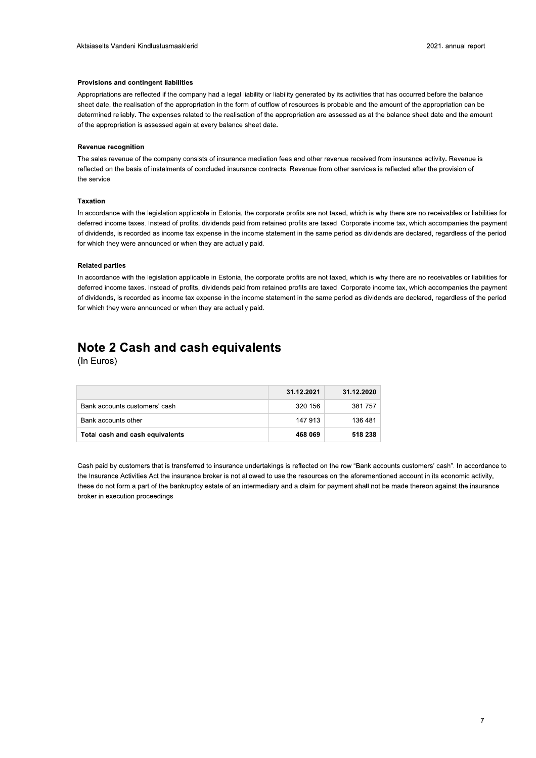### Provisions and contingent liabilities

Appropriations are reflected if the company had a legal liability or liability generated by its activities that has occurred before the balance sheet date, the realisation of the appropriation in the form of outflow of resources is probable and the amount of the appropriation can be determined reliably. The expenses related to the realisation of the appropriation are assessed as at the balance sheet date and the amount of the appropriation is assessed again at every balance sheet date.

#### **Revenue recognition**

The sales revenue of the company consists of insurance mediation fees and other revenue received from insurance activity. Revenue is reflected on the basis of instalments of concluded insurance contracts. Revenue from other services is reflected after the provision of the service.

#### **Taxation**

In accordance with the legislation applicable in Estonia, the corporate profits are not taxed, which is why there are no receivables or liabilities for deferred income taxes. Instead of profits, dividends paid from retained profits are taxed. Corporate income tax, which accompanies the payment of dividends, is recorded as income tax expense in the income statement in the same period as dividends are declared, regardless of the period for which they were announced or when they are actually paid.

#### **Related parties**

In accordance with the legislation applicable in Estonia, the corporate profits are not taxed, which is why there are no receivables or liabilities for deferred income taxes. Instead of profits, dividends paid from retained profits are taxed. Corporate income tax, which accompanies the payment of dividends, is recorded as income tax expense in the income statement in the same period as dividends are declared, regardless of the period for which they were announced or when they are actually paid.

### **Note 2 Cash and cash equivalents**

(In Euros)

|                                 | 31.12.2021 | 31.12.2020 |
|---------------------------------|------------|------------|
| Bank accounts customers' cash   | 320 156    | 381757     |
| Bank accounts other             | 147 913    | 136 481    |
| Total cash and cash equivalents | 468 069    | 518 238    |

Cash paid by customers that is transferred to insurance undertakings is reflected on the row "Bank accounts customers' cash". In accordance to the Insurance Activities Act the insurance broker is not allowed to use the resources on the aforementioned account in its economic activity, these do not form a part of the bankruptcy estate of an intermediary and a claim for payment shall not be made thereon against the insurance broker in execution proceedings.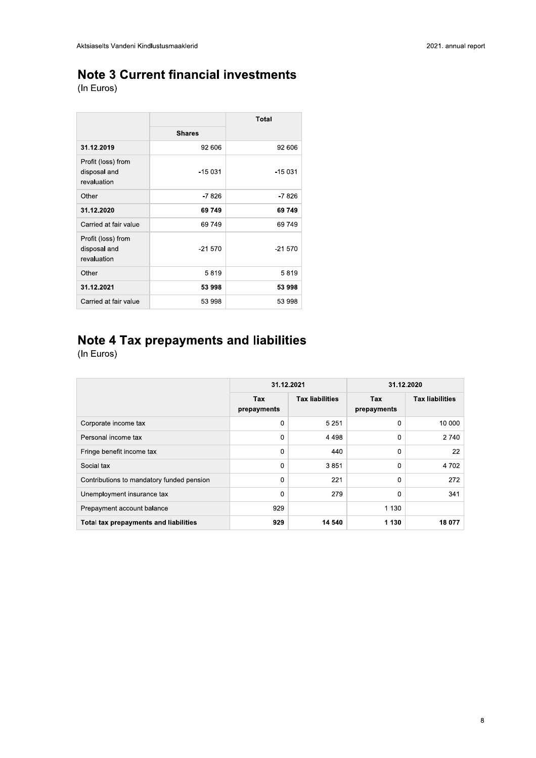# **Note 3 Current financial investments**

(In Euros)

|                                                   |               | Total    |
|---------------------------------------------------|---------------|----------|
|                                                   | <b>Shares</b> |          |
| 31.12.2019                                        | 92 606        | 92 606   |
| Profit (loss) from<br>disposal and<br>revaluation | $-15031$      | $-15031$ |
| Other                                             | -7826         | $-7826$  |
| 31.12.2020                                        | 69 749        | 69 749   |
| Carried at fair value                             | 69749         | 69749    |
| Profit (loss) from<br>disposal and<br>revaluation | $-21570$      | $-21570$ |
| Other                                             | 5819          | 5819     |
| 31.12.2021                                        | 53 998        | 53 998   |
| Carried at fair value                             | 53 998        | 53 998   |

# Note 4 Tax prepayments and liabilities

|                                           | 31.12.2021         |                        | 31.12.2020         |                        |
|-------------------------------------------|--------------------|------------------------|--------------------|------------------------|
|                                           | Tax<br>prepayments | <b>Tax liabilities</b> | Tax<br>prepayments | <b>Tax liabilities</b> |
| Corporate income tax                      | 0                  | 5 2 5 1                | 0                  | 10 000                 |
| Personal income tax                       | $\mathbf{0}$       | 4 4 9 8                | 0                  | 2 740                  |
| Fringe benefit income tax                 | 0                  | 440                    | 0                  | 22                     |
| Social tax                                | 0                  | 3851                   | 0                  | 4 702                  |
| Contributions to mandatory funded pension | 0                  | 221                    | $\mathbf 0$        | 272                    |
| Unemployment insurance tax                | 0                  | 279                    | 0                  | 341                    |
| Prepayment account balance                | 929                |                        | 1 1 3 0            |                        |
| Total tax prepayments and liabilities     | 929                | 14 540                 | 1 1 3 0            | 18 077                 |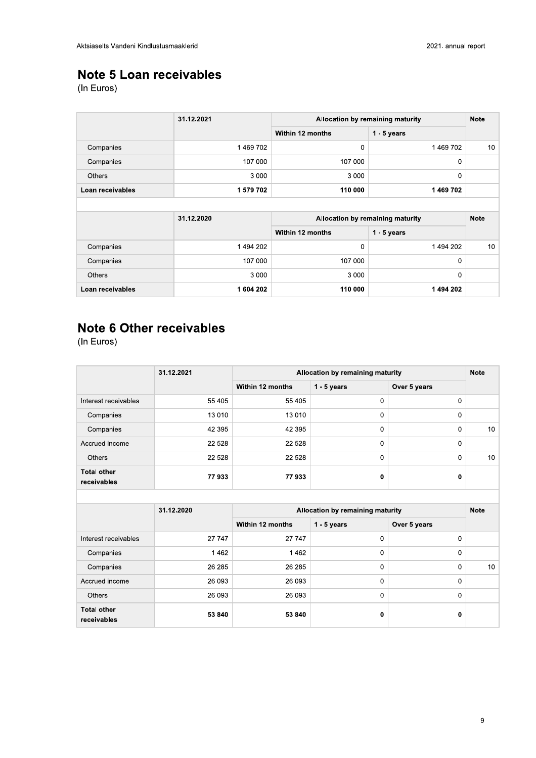# **Note 5 Loan receivables**

(In Euros)

| 31.12.2021 | Allocation by remaining maturity |               | <b>Note</b> |
|------------|----------------------------------|---------------|-------------|
|            | Within 12 months                 | $1 - 5$ years |             |
| 1469702    | 0                                | 1469702       | 10          |
| 107 000    | 107 000                          | 0             |             |
| 3 0 0 0    | 3 0 0 0                          | 0             |             |
| 1 579 702  | 110 000                          | 1469702       |             |
|            |                                  |               |             |
|            |                                  |               |             |

|                  | 31.12.2020 | Allocation by remaining maturity |               | <b>Note</b> |
|------------------|------------|----------------------------------|---------------|-------------|
|                  |            | Within 12 months                 | $1 - 5$ years |             |
| Companies        | 1494202    | 0                                | 1494202       | 10          |
| Companies        | 107 000    | 107 000                          | 0             |             |
| <b>Others</b>    | 3 0 0 0    | 3 0 0 0                          | 0             |             |
| Loan receivables | 1 604 202  | 110 000                          | 1494 202      |             |

# **Note 6 Other receivables**

|                                   | 31.12.2021 | Allocation by remaining maturity |               | <b>Note</b>  |    |
|-----------------------------------|------------|----------------------------------|---------------|--------------|----|
|                                   |            | Within 12 months                 | $1 - 5$ years | Over 5 years |    |
| Interest receivables              | 55 405     | 55 405                           | $\mathbf 0$   | $\Omega$     |    |
| Companies                         | 13 010     | 13 010                           | $\Omega$      | $\Omega$     |    |
| Companies                         | 42 395     | 42 3 95                          | $\Omega$      | $\mathbf 0$  | 10 |
| Accrued income                    | 22 5 28    | 22 5 28                          | $\Omega$      | $\Omega$     |    |
| Others                            | 22 5 28    | 22 5 28                          | $\Omega$      | $\Omega$     | 10 |
| <b>Total other</b><br>receivables | 77933      | 77933                            | 0             | $\mathbf{0}$ |    |

|                                   | 31.12.2020 | Allocation by remaining maturity |               | <b>Note</b>  |    |
|-----------------------------------|------------|----------------------------------|---------------|--------------|----|
|                                   |            | Within 12 months                 | $1 - 5$ years | Over 5 years |    |
| Interest receivables              | 27 747     | 27 747                           | 0             | 0            |    |
| Companies                         | 1462       | 1462                             | 0             | 0            |    |
| Companies                         | 26 285     | 26 285                           | 0             | 0            | 10 |
| Accrued income                    | 26 093     | 26 093                           | $\mathbf{0}$  | 0            |    |
| <b>Others</b>                     | 26 093     | 26 093                           | $\mathbf 0$   | 0            |    |
| <b>Total other</b><br>receivables | 53 840     | 53 840                           | 0             | 0            |    |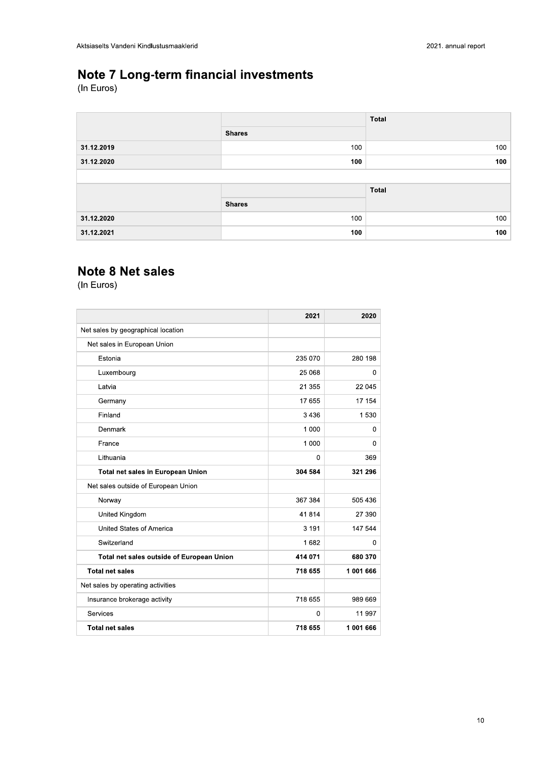# Note 7 Long-term financial investments

(In Euros)

|            |               | Total |
|------------|---------------|-------|
|            | <b>Shares</b> |       |
| 31.12.2019 | 100           | 100   |
| 31.12.2020 | 100           | 100   |
|            |               |       |
|            |               | Total |
|            | <b>Shares</b> |       |
| 31.12.2020 | 100           | 100   |
| 31.12.2021 | 100           | 100   |

### **Note 8 Net sales**

|                                           | 2021        | 2020    |
|-------------------------------------------|-------------|---------|
| Net sales by geographical location        |             |         |
| Net sales in European Union               |             |         |
| Estonia                                   | 235 070     | 280 198 |
| Luxembourg                                | 25 068      | 0       |
| Latvia                                    | 21 355      | 22 045  |
| Germany                                   | 17 655      | 17 154  |
| Finland                                   | 3436        | 1530    |
| Denmark                                   | 1 0 0 0     | 0       |
| France                                    | 1 0 0 0     | 0       |
| Lithuania                                 | $\mathbf 0$ | 369     |
| Total net sales in European Union         | 304 584     | 321 296 |
| Net sales outside of European Union       |             |         |
| Norway                                    | 367 384     | 505 436 |
| United Kingdom                            | 41814       | 27 390  |
| United States of America                  | 3 1 9 1     | 147 544 |
| Switzerland                               | 1682        | 0       |
| Total net sales outside of European Union | 414 071     | 680 370 |
| <b>Total net sales</b>                    | 718 655     | 1001666 |
| Net sales by operating activities         |             |         |
| Insurance brokerage activity              | 718 655     | 989 669 |
| Services                                  | 0           | 11 997  |
| <b>Total net sales</b>                    | 718 655     | 1001666 |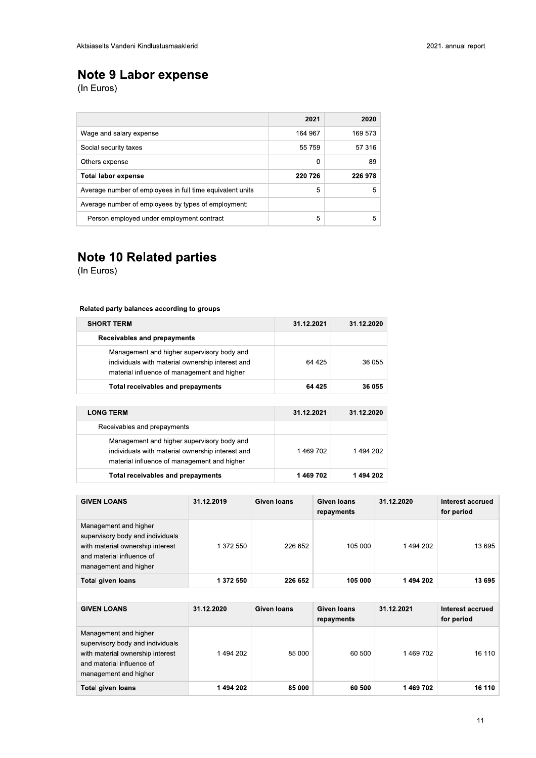| Aktsiaselts Vandeni Kindlustusmaaklerid                   |          |         |
|-----------------------------------------------------------|----------|---------|
| Note 9 Labor expense                                      |          |         |
| (In Euros)                                                |          |         |
|                                                           |          |         |
|                                                           | 2021     | 2020    |
| Wage and salary expense                                   | 164 967  | 169 573 |
| Social security taxes                                     | 55 759   | 57 316  |
| Others expense                                            | $\Omega$ | 89      |
|                                                           |          |         |
| <b>Total labor expense</b>                                | 220 726  | 226 978 |
| Average number of employees in full time equivalent units | 5        | 5       |
| Average number of employees by types of employment:       |          |         |

| Average number of employees in full time equivalent units                                                                                     | 5          | 5          |
|-----------------------------------------------------------------------------------------------------------------------------------------------|------------|------------|
| Average number of employees by types of employment:                                                                                           |            |            |
| Person employed under employment contract                                                                                                     | 5          |            |
| <b>Note 10 Related parties</b><br>(In Euros)<br>Related party balances according to groups                                                    |            |            |
| <b>SHORT TERM</b>                                                                                                                             | 31.12.2021 | 31.12.2020 |
| Receivables and prepayments                                                                                                                   |            |            |
|                                                                                                                                               |            |            |
| Management and higher supervisory body and<br>individuals with material ownership interest and<br>material influence of management and higher | 64 425     | 36 055     |

| <b>LONG TERM</b>                                                                                                                              | 31.12.2021 | 31.12.2020 |
|-----------------------------------------------------------------------------------------------------------------------------------------------|------------|------------|
| Receivables and prepayments                                                                                                                   |            |            |
| Management and higher supervisory body and<br>individuals with material ownership interest and<br>material influence of management and higher | 1469702    | 1 494 202  |
| Total receivables and prepayments                                                                                                             | 1 469 702  | 1494202    |

| <b>GIVEN LOANS</b>                                                                                                                                  | 31.12.2019 | Given loans | Given loans<br>repayments | 31.12.2020 | Interest accrued<br>for period |
|-----------------------------------------------------------------------------------------------------------------------------------------------------|------------|-------------|---------------------------|------------|--------------------------------|
| Management and higher<br>supervisory body and individuals<br>with material ownership interest<br>and material influence of<br>management and higher | 1 372 550  | 226 652     | 105 000                   | 1 494 202  | 13 695                         |
| <b>Total given loans</b>                                                                                                                            | 1 372 550  | 226 652     | 105 000                   | 1494202    | 13 695                         |

| <b>GIVEN LOANS</b>                                                                                                                                  | 31.12.2020 | Given Ioans | Given Ioans<br>repayments | 31.12.2021 | Interest accrued<br>for period |
|-----------------------------------------------------------------------------------------------------------------------------------------------------|------------|-------------|---------------------------|------------|--------------------------------|
| Management and higher<br>supervisory body and individuals<br>with material ownership interest<br>and material influence of<br>management and higher | 1494202    | 85 000      | 60 500                    | 1469702    | 16 110                         |
| <b>Total given loans</b>                                                                                                                            | 1494202    | 85 000      | 60 500                    | 1469702    | 16 110                         |